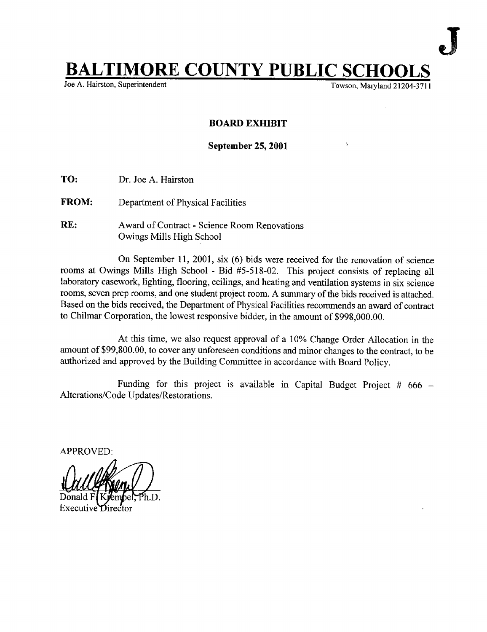## **BALTIMORE COUNTY PUBLIC SCH**<br>Joe A. Hairston, Superintendent

Towson, Maryland 21204-3711

Ä.

## BOARD EXHIBIT

September 25, 2001.

- TO: Dr. Joe A. Hairston
- FROM: Department of Physical Facilities
- RE: Award of Contract Science Room Renovations Owings Mills High School

On September 11, 2001, six (6) bids were received for the renovation of science rooms at Owings Mills High School - Bid #5-518-02 . This project consists of replacing all laboratory casework, lighting, flooring, ceilings, and heating and ventilation systems in six science rooms, seven prep rooms, and one student project room. A summary of the bids received is attached . Based on the bids received, the Department of Physical Facilities recommends an award of contract to Chilmar Corporation, the lowest responsive bidder, in the amount of \$998,000 .00.

At this time, we also request approval of <sup>a</sup> 10% Change Order Allocation in the amount of \$99,800.00, to cover any unforeseen conditions and minor changes to the contract, to be authorized and approved by the Building Committee in accordance with Board Policy.

Funding for this project is available in Capital Budget Project #  $666 -$ Alterations/Code Updates/Restorations.

**APPROVED:** 

Executive